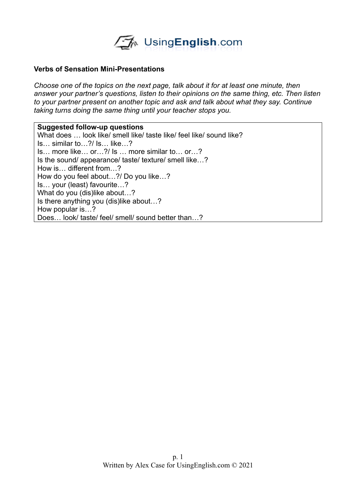

## **Verbs of Sensation Mini-Presentations**

*Choose one of the topics on the next page, talk about it for at least one minute, then answer your partner's questions, listen to their opinions on the same thing, etc. Then listen to your partner present on another topic and ask and talk about what they say. Continue taking turns doing the same thing until your teacher stops you.* 

**Suggested follow-up questions** What does … look like/ smell like/ taste like/ feel like/ sound like? Is… similar to…?/ Is… like…? Is… more like… or…?/ Is … more similar to… or…? Is the sound/ appearance/ taste/ texture/ smell like…? How is… different from…? How do you feel about…?/ Do you like…? Is… your (least) favourite…? What do you (dis)like about...? Is there anything you (dis)like about…? How popular is…? Does… look/ taste/ feel/ smell/ sound better than…?